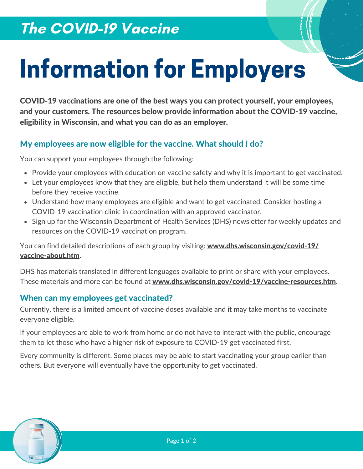## The COVID-19 Vaccine

# Information for Employers

COVID-19 vaccinations are one of the best ways you can protect yourself, your employees, and your customers. The resources below provide information about the COVID-19 vaccine, eligibility in Wisconsin, and what you can do as an employer.

## My employees are now eligible for the vaccine. What should I do?

You can support your employees through the following:

- Provide your employees with education on vaccine safety and why it is important to get vaccinated.
- Let your employees know that they are eligible, but help them understand it will be some time before they receive vaccine.
- Understand how many employees are eligible and want to get vaccinated. Consider hosting a COVID-19 vaccination clinic in coordination with an approved vaccinator.
- Sign up for the Wisconsin Department of Health Services (DHS) newsletter for weekly updates and resources on the COVID-19 vaccination program.

You can find detailed descriptions of each group by visiting: [www.dhs.wisconsin.gov/covid-19/](http://www.dhs.wisconsin.gov/covid-19/vaccine-about.htm) vaccine-about.htm.

DHS has materials translated in different languages available to print or share with your employees. These materials and more can be found at [www.dhs.wisconsin.gov/covid-19/vaccine-resources.htm](https://www.dhs.wisconsin.gov/covid-19/vaccine-resources.htm).

## When can my employees get vaccinated?

Currently, there is a limited amount of vaccine doses available and it may take months to vaccinate everyone eligible.

If your employees are able to work from home or do not have to interact with the public, encourage them to let those who have a higher risk of exposure to COVID-19 get vaccinated first.

Every community is different. Some places may be able to start vaccinating your group earlier than others. But everyone will eventually have the opportunity to get vaccinated.